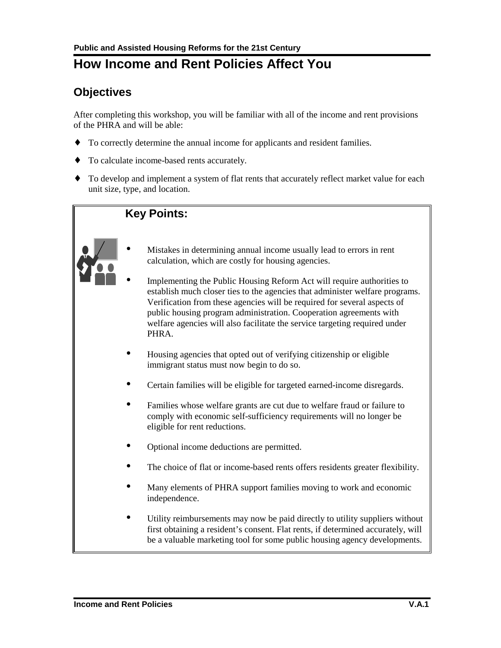# **How Income and Rent Policies Affect You**

## **Objectives**

After completing this workshop, you will be familiar with all of the income and rent provisions of the PHRA and will be able:

- ♦ To correctly determine the annual income for applicants and resident families.
- ♦ To calculate income-based rents accurately.
- ♦ To develop and implement a system of flat rents that accurately reflect market value for each unit size, type, and location.

## **Key Points:**



- Mistakes in determining annual income usually lead to errors in rent calculation, which are costly for housing agencies.
- Implementing the Public Housing Reform Act will require authorities to establish much closer ties to the agencies that administer welfare programs. Verification from these agencies will be required for several aspects of public housing program administration. Cooperation agreements with welfare agencies will also facilitate the service targeting required under PHRA.
- Housing agencies that opted out of verifying citizenship or eligible immigrant status must now begin to do so.
- Certain families will be eligible for targeted earned-income disregards.
- Families whose welfare grants are cut due to welfare fraud or failure to comply with economic self-sufficiency requirements will no longer be eligible for rent reductions.
- Optional income deductions are permitted.
- The choice of flat or income-based rents offers residents greater flexibility.
- Many elements of PHRA support families moving to work and economic independence.
- Utility reimbursements may now be paid directly to utility suppliers without first obtaining a resident's consent. Flat rents, if determined accurately, will be a valuable marketing tool for some public housing agency developments.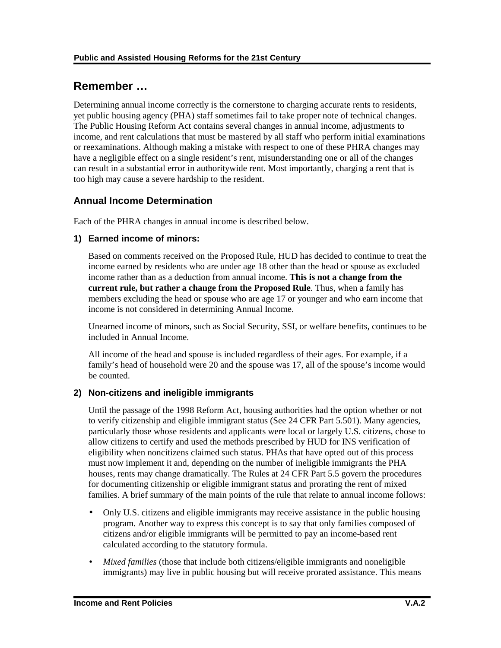## **Remember …**

Determining annual income correctly is the cornerstone to charging accurate rents to residents, yet public housing agency (PHA) staff sometimes fail to take proper note of technical changes. The Public Housing Reform Act contains several changes in annual income, adjustments to income, and rent calculations that must be mastered by all staff who perform initial examinations or reexaminations. Although making a mistake with respect to one of these PHRA changes may have a negligible effect on a single resident's rent, misunderstanding one or all of the changes can result in a substantial error in authoritywide rent. Most importantly, charging a rent that is too high may cause a severe hardship to the resident.

## **Annual Income Determination**

Each of the PHRA changes in annual income is described below.

#### **1) Earned income of minors:**

Based on comments received on the Proposed Rule, HUD has decided to continue to treat the income earned by residents who are under age 18 other than the head or spouse as excluded income rather than as a deduction from annual income. **This is not a change from the current rule, but rather a change from the Proposed Rule**. Thus, when a family has members excluding the head or spouse who are age 17 or younger and who earn income that income is not considered in determining Annual Income.

Unearned income of minors, such as Social Security, SSI, or welfare benefits, continues to be included in Annual Income.

All income of the head and spouse is included regardless of their ages. For example, if a family's head of household were 20 and the spouse was 17, all of the spouse's income would be counted.

#### **2) Non-citizens and ineligible immigrants**

Until the passage of the 1998 Reform Act, housing authorities had the option whether or not to verify citizenship and eligible immigrant status (See 24 CFR Part 5.501). Many agencies, particularly those whose residents and applicants were local or largely U.S. citizens, chose to allow citizens to certify and used the methods prescribed by HUD for INS verification of eligibility when noncitizens claimed such status. PHAs that have opted out of this process must now implement it and, depending on the number of ineligible immigrants the PHA houses, rents may change dramatically. The Rules at 24 CFR Part 5.5 govern the procedures for documenting citizenship or eligible immigrant status and prorating the rent of mixed families. A brief summary of the main points of the rule that relate to annual income follows:

- Only U.S. citizens and eligible immigrants may receive assistance in the public housing program. Another way to express this concept is to say that only families composed of citizens and/or eligible immigrants will be permitted to pay an income-based rent calculated according to the statutory formula.
- *Mixed families* (those that include both citizens/eligible immigrants and noneligible immigrants) may live in public housing but will receive prorated assistance. This means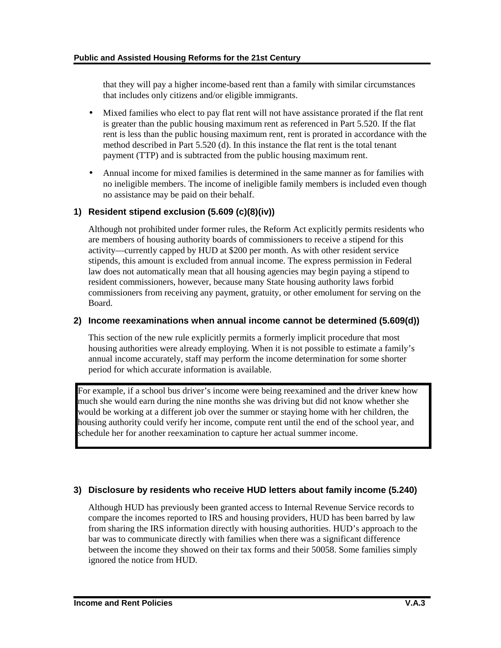that they will pay a higher income-based rent than a family with similar circumstances that includes only citizens and/or eligible immigrants.

- Mixed families who elect to pay flat rent will not have assistance prorated if the flat rent is greater than the public housing maximum rent as referenced in Part 5.520. If the flat rent is less than the public housing maximum rent, rent is prorated in accordance with the method described in Part 5.520 (d). In this instance the flat rent is the total tenant payment (TTP) and is subtracted from the public housing maximum rent.
- Annual income for mixed families is determined in the same manner as for families with no ineligible members. The income of ineligible family members is included even though no assistance may be paid on their behalf.

#### **1) Resident stipend exclusion (5.609 (c)(8)(iv))**

Although not prohibited under former rules, the Reform Act explicitly permits residents who are members of housing authority boards of commissioners to receive a stipend for this activity—currently capped by HUD at \$200 per month. As with other resident service stipends, this amount is excluded from annual income. The express permission in Federal law does not automatically mean that all housing agencies may begin paying a stipend to resident commissioners, however, because many State housing authority laws forbid commissioners from receiving any payment, gratuity, or other emolument for serving on the Board.

#### **2) Income reexaminations when annual income cannot be determined (5.609(d))**

This section of the new rule explicitly permits a formerly implicit procedure that most housing authorities were already employing. When it is not possible to estimate a family's annual income accurately, staff may perform the income determination for some shorter period for which accurate information is available.

For example, if a school bus driver's income were being reexamined and the driver knew how much she would earn during the nine months she was driving but did not know whether she would be working at a different job over the summer or staying home with her children, the housing authority could verify her income, compute rent until the end of the school year, and schedule her for another reexamination to capture her actual summer income.

#### **3) Disclosure by residents who receive HUD letters about family income (5.240)**

Although HUD has previously been granted access to Internal Revenue Service records to compare the incomes reported to IRS and housing providers, HUD has been barred by law from sharing the IRS information directly with housing authorities. HUD's approach to the bar was to communicate directly with families when there was a significant difference between the income they showed on their tax forms and their 50058. Some families simply ignored the notice from HUD.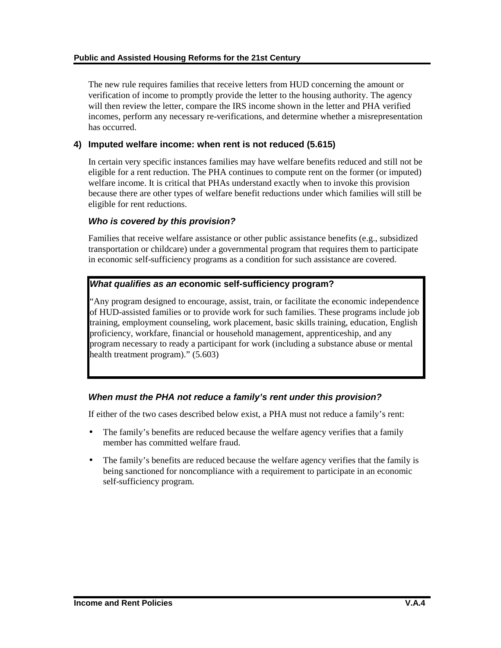The new rule requires families that receive letters from HUD concerning the amount or verification of income to promptly provide the letter to the housing authority. The agency will then review the letter, compare the IRS income shown in the letter and PHA verified incomes, perform any necessary re-verifications, and determine whether a misrepresentation has occurred.

#### **4) Imputed welfare income: when rent is not reduced (5.615)**

In certain very specific instances families may have welfare benefits reduced and still not be eligible for a rent reduction. The PHA continues to compute rent on the former (or imputed) welfare income. It is critical that PHAs understand exactly when to invoke this provision because there are other types of welfare benefit reductions under which families will still be eligible for rent reductions.

#### *Who is covered by this provision?*

Families that receive welfare assistance or other public assistance benefits (e.g., subsidized transportation or childcare) under a governmental program that requires them to participate in economic self-sufficiency programs as a condition for such assistance are covered.

#### *What qualifies as an* **economic self-sufficiency program?**

"Any program designed to encourage, assist, train, or facilitate the economic independence of HUD-assisted families or to provide work for such families. These programs include job training, employment counseling, work placement, basic skills training, education, English proficiency, workfare, financial or household management, apprenticeship, and any program necessary to ready a participant for work (including a substance abuse or mental health treatment program)." (5.603)

#### *When must the PHA not reduce a family's rent under this provision?*

If either of the two cases described below exist, a PHA must not reduce a family's rent:

- The family's benefits are reduced because the welfare agency verifies that a family member has committed welfare fraud.
- The family's benefits are reduced because the welfare agency verifies that the family is being sanctioned for noncompliance with a requirement to participate in an economic self-sufficiency program.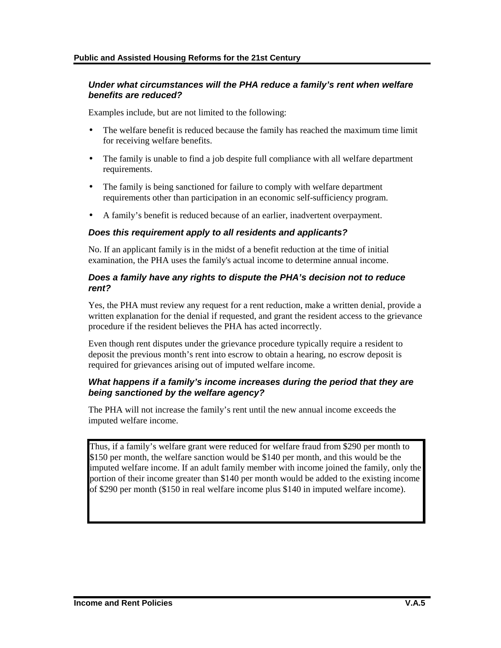#### *Under what circumstances will the PHA reduce a family's rent when welfare benefits are reduced?*

Examples include, but are not limited to the following:

- The welfare benefit is reduced because the family has reached the maximum time limit for receiving welfare benefits.
- The family is unable to find a job despite full compliance with all welfare department requirements.
- The family is being sanctioned for failure to comply with welfare department requirements other than participation in an economic self-sufficiency program.
- A family's benefit is reduced because of an earlier, inadvertent overpayment.

#### *Does this requirement apply to all residents and applicants?*

No. If an applicant family is in the midst of a benefit reduction at the time of initial examination, the PHA uses the family's actual income to determine annual income.

#### *Does a family have any rights to dispute the PHA's decision not to reduce rent?*

Yes, the PHA must review any request for a rent reduction, make a written denial, provide a written explanation for the denial if requested, and grant the resident access to the grievance procedure if the resident believes the PHA has acted incorrectly.

Even though rent disputes under the grievance procedure typically require a resident to deposit the previous month's rent into escrow to obtain a hearing, no escrow deposit is required for grievances arising out of imputed welfare income.

#### *What happens if a family's income increases during the period that they are being sanctioned by the welfare agency?*

The PHA will not increase the family's rent until the new annual income exceeds the imputed welfare income.

Thus, if a family's welfare grant were reduced for welfare fraud from \$290 per month to \$150 per month, the welfare sanction would be \$140 per month, and this would be the imputed welfare income. If an adult family member with income joined the family, only the portion of their income greater than \$140 per month would be added to the existing income of \$290 per month (\$150 in real welfare income plus \$140 in imputed welfare income).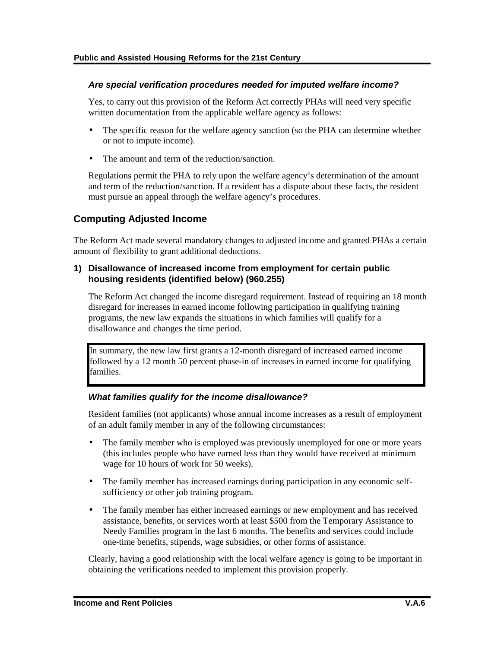#### *Are special verification procedures needed for imputed welfare income?*

Yes, to carry out this provision of the Reform Act correctly PHAs will need very specific written documentation from the applicable welfare agency as follows:

- The specific reason for the welfare agency sanction (so the PHA can determine whether or not to impute income).
- The amount and term of the reduction/sanction.

Regulations permit the PHA to rely upon the welfare agency's determination of the amount and term of the reduction/sanction. If a resident has a dispute about these facts, the resident must pursue an appeal through the welfare agency's procedures.

## **Computing Adjusted Income**

The Reform Act made several mandatory changes to adjusted income and granted PHAs a certain amount of flexibility to grant additional deductions.

#### **1) Disallowance of increased income from employment for certain public housing residents (identified below) (960.255)**

The Reform Act changed the income disregard requirement. Instead of requiring an 18 month disregard for increases in earned income following participation in qualifying training programs, the new law expands the situations in which families will qualify for a disallowance and changes the time period.

In summary, the new law first grants a 12-month disregard of increased earned income followed by a 12 month 50 percent phase-in of increases in earned income for qualifying families.

#### *What families qualify for the income disallowance?*

Resident families (not applicants) whose annual income increases as a result of employment of an adult family member in any of the following circumstances:

- The family member who is employed was previously unemployed for one or more years (this includes people who have earned less than they would have received at minimum wage for 10 hours of work for 50 weeks).
- The family member has increased earnings during participation in any economic selfsufficiency or other job training program.
- The family member has either increased earnings or new employment and has received assistance, benefits, or services worth at least \$500 from the Temporary Assistance to Needy Families program in the last 6 months. The benefits and services could include one-time benefits, stipends, wage subsidies, or other forms of assistance.

Clearly, having a good relationship with the local welfare agency is going to be important in obtaining the verifications needed to implement this provision properly.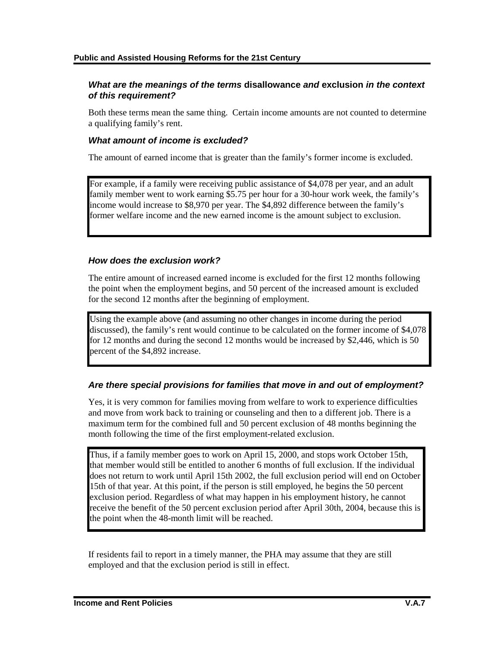#### *What are the meanings of the terms* **disallowance** *and* **exclusion** *in the context of this requirement?*

Both these terms mean the same thing. Certain income amounts are not counted to determine a qualifying family's rent.

#### *What amount of income is excluded?*

The amount of earned income that is greater than the family's former income is excluded.

For example, if a family were receiving public assistance of \$4,078 per year, and an adult family member went to work earning \$5.75 per hour for a 30-hour work week, the family's income would increase to \$8,970 per year. The \$4,892 difference between the family's former welfare income and the new earned income is the amount subject to exclusion.

#### *How does the exclusion work?*

The entire amount of increased earned income is excluded for the first 12 months following the point when the employment begins, and 50 percent of the increased amount is excluded for the second 12 months after the beginning of employment.

Using the example above (and assuming no other changes in income during the period discussed), the family's rent would continue to be calculated on the former income of \$4,078 for 12 months and during the second 12 months would be increased by \$2,446, which is 50 percent of the \$4,892 increase.

#### *Are there special provisions for families that move in and out of employment?*

Yes, it is very common for families moving from welfare to work to experience difficulties and move from work back to training or counseling and then to a different job. There is a maximum term for the combined full and 50 percent exclusion of 48 months beginning the month following the time of the first employment-related exclusion.

Thus, if a family member goes to work on April 15, 2000, and stops work October 15th, that member would still be entitled to another 6 months of full exclusion. If the individual does not return to work until April 15th 2002, the full exclusion period will end on October 15th of that year. At this point, if the person is still employed, he begins the 50 percent exclusion period. Regardless of what may happen in his employment history, he cannot receive the benefit of the 50 percent exclusion period after April 30th, 2004, because this is the point when the 48-month limit will be reached.

If residents fail to report in a timely manner, the PHA may assume that they are still employed and that the exclusion period is still in effect.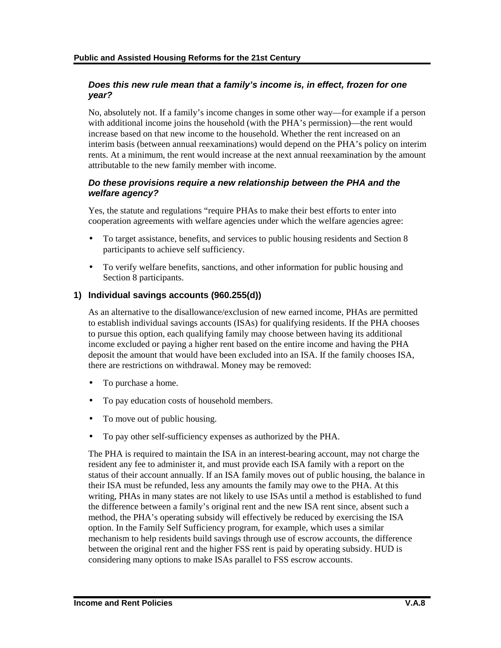#### *Does this new rule mean that a family's income is, in effect, frozen for one year?*

No, absolutely not. If a family's income changes in some other way—for example if a person with additional income joins the household (with the PHA's permission)—the rent would increase based on that new income to the household. Whether the rent increased on an interim basis (between annual reexaminations) would depend on the PHA's policy on interim rents. At a minimum, the rent would increase at the next annual reexamination by the amount attributable to the new family member with income.

#### *Do these provisions require a new relationship between the PHA and the welfare agency?*

Yes, the statute and regulations "require PHAs to make their best efforts to enter into cooperation agreements with welfare agencies under which the welfare agencies agree:

- To target assistance, benefits, and services to public housing residents and Section 8 participants to achieve self sufficiency.
- To verify welfare benefits, sanctions, and other information for public housing and Section 8 participants.

#### **1) Individual savings accounts (960.255(d))**

As an alternative to the disallowance/exclusion of new earned income, PHAs are permitted to establish individual savings accounts (ISAs) for qualifying residents. If the PHA chooses to pursue this option, each qualifying family may choose between having its additional income excluded or paying a higher rent based on the entire income and having the PHA deposit the amount that would have been excluded into an ISA. If the family chooses ISA, there are restrictions on withdrawal. Money may be removed:

- To purchase a home.
- To pay education costs of household members.
- To move out of public housing.
- To pay other self-sufficiency expenses as authorized by the PHA.

The PHA is required to maintain the ISA in an interest-bearing account, may not charge the resident any fee to administer it, and must provide each ISA family with a report on the status of their account annually. If an ISA family moves out of public housing, the balance in their ISA must be refunded, less any amounts the family may owe to the PHA. At this writing, PHAs in many states are not likely to use ISAs until a method is established to fund the difference between a family's original rent and the new ISA rent since, absent such a method, the PHA's operating subsidy will effectively be reduced by exercising the ISA option. In the Family Self Sufficiency program, for example, which uses a similar mechanism to help residents build savings through use of escrow accounts, the difference between the original rent and the higher FSS rent is paid by operating subsidy. HUD is considering many options to make ISAs parallel to FSS escrow accounts.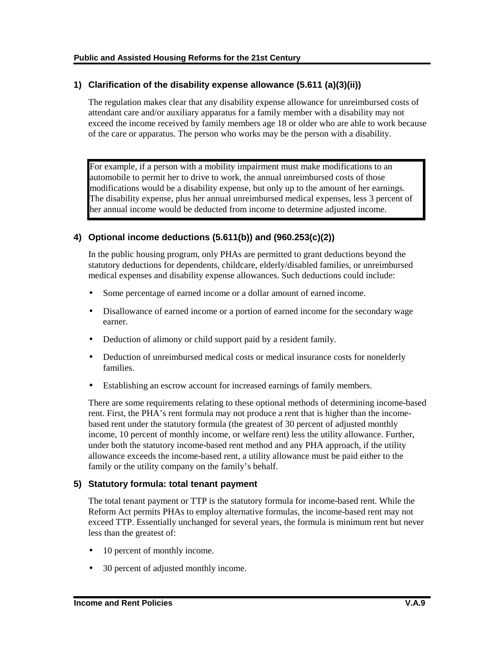#### **1) Clarification of the disability expense allowance (5.611 (a)(3)(ii))**

The regulation makes clear that any disability expense allowance for unreimbursed costs of attendant care and/or auxiliary apparatus for a family member with a disability may not exceed the income received by family members age 18 or older who are able to work because of the care or apparatus. The person who works may be the person with a disability.

For example, if a person with a mobility impairment must make modifications to an automobile to permit her to drive to work, the annual unreimbursed costs of those modifications would be a disability expense, but only up to the amount of her earnings. The disability expense, plus her annual unreimbursed medical expenses, less 3 percent of her annual income would be deducted from income to determine adjusted income.

#### **4) Optional income deductions (5.611(b)) and (960.253(c)(2))**

In the public housing program, only PHAs are permitted to grant deductions beyond the statutory deductions for dependents, childcare, elderly/disabled families, or unreimbursed medical expenses and disability expense allowances. Such deductions could include:

- Some percentage of earned income or a dollar amount of earned income.
- Disallowance of earned income or a portion of earned income for the secondary wage earner.
- Deduction of alimony or child support paid by a resident family.
- Deduction of unreimbursed medical costs or medical insurance costs for nonelderly families.
- Establishing an escrow account for increased earnings of family members.

There are some requirements relating to these optional methods of determining income-based rent. First, the PHA's rent formula may not produce a rent that is higher than the incomebased rent under the statutory formula (the greatest of 30 percent of adjusted monthly income, 10 percent of monthly income, or welfare rent) less the utility allowance. Further, under both the statutory income-based rent method and any PHA approach, if the utility allowance exceeds the income-based rent, a utility allowance must be paid either to the family or the utility company on the family's behalf.

#### **5) Statutory formula: total tenant payment**

The total tenant payment or TTP is the statutory formula for income-based rent. While the Reform Act permits PHAs to employ alternative formulas, the income-based rent may not exceed TTP. Essentially unchanged for several years, the formula is minimum rent but never less than the greatest of:

- 10 percent of monthly income.
- 30 percent of adjusted monthly income.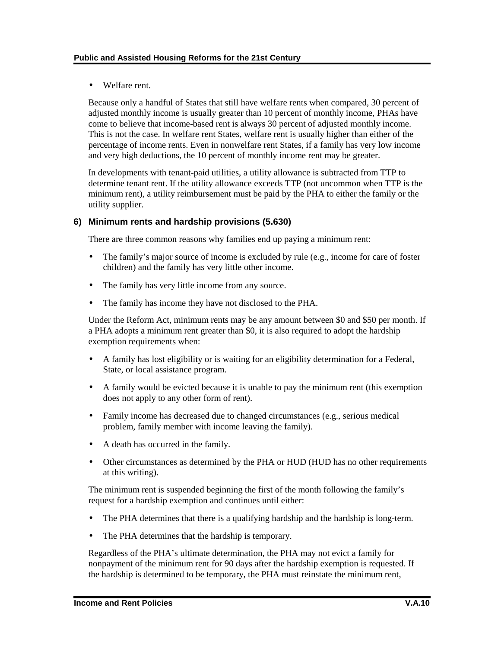• Welfare rent.

Because only a handful of States that still have welfare rents when compared, 30 percent of adjusted monthly income is usually greater than 10 percent of monthly income, PHAs have come to believe that income-based rent is always 30 percent of adjusted monthly income. This is not the case. In welfare rent States, welfare rent is usually higher than either of the percentage of income rents. Even in nonwelfare rent States, if a family has very low income and very high deductions, the 10 percent of monthly income rent may be greater.

In developments with tenant-paid utilities, a utility allowance is subtracted from TTP to determine tenant rent. If the utility allowance exceeds TTP (not uncommon when TTP is the minimum rent), a utility reimbursement must be paid by the PHA to either the family or the utility supplier.

#### **6) Minimum rents and hardship provisions (5.630)**

There are three common reasons why families end up paying a minimum rent:

- The family's major source of income is excluded by rule (e.g., income for care of foster children) and the family has very little other income.
- The family has very little income from any source.
- The family has income they have not disclosed to the PHA.

Under the Reform Act, minimum rents may be any amount between \$0 and \$50 per month. If a PHA adopts a minimum rent greater than \$0, it is also required to adopt the hardship exemption requirements when:

- A family has lost eligibility or is waiting for an eligibility determination for a Federal, State, or local assistance program.
- A family would be evicted because it is unable to pay the minimum rent (this exemption does not apply to any other form of rent).
- Family income has decreased due to changed circumstances (e.g., serious medical problem, family member with income leaving the family).
- A death has occurred in the family.
- Other circumstances as determined by the PHA or HUD (HUD has no other requirements at this writing).

The minimum rent is suspended beginning the first of the month following the family's request for a hardship exemption and continues until either:

- The PHA determines that there is a qualifying hardship and the hardship is long-term.
- The PHA determines that the hardship is temporary.

Regardless of the PHA's ultimate determination, the PHA may not evict a family for nonpayment of the minimum rent for 90 days after the hardship exemption is requested. If the hardship is determined to be temporary, the PHA must reinstate the minimum rent,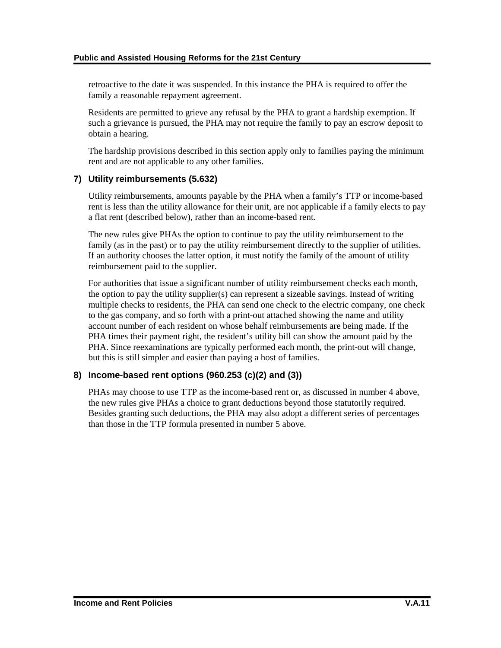retroactive to the date it was suspended. In this instance the PHA is required to offer the family a reasonable repayment agreement.

Residents are permitted to grieve any refusal by the PHA to grant a hardship exemption. If such a grievance is pursued, the PHA may not require the family to pay an escrow deposit to obtain a hearing.

The hardship provisions described in this section apply only to families paying the minimum rent and are not applicable to any other families.

#### **7) Utility reimbursements (5.632)**

Utility reimbursements, amounts payable by the PHA when a family's TTP or income-based rent is less than the utility allowance for their unit, are not applicable if a family elects to pay a flat rent (described below), rather than an income-based rent.

The new rules give PHAs the option to continue to pay the utility reimbursement to the family (as in the past) or to pay the utility reimbursement directly to the supplier of utilities. If an authority chooses the latter option, it must notify the family of the amount of utility reimbursement paid to the supplier.

For authorities that issue a significant number of utility reimbursement checks each month, the option to pay the utility supplier(s) can represent a sizeable savings. Instead of writing multiple checks to residents, the PHA can send one check to the electric company, one check to the gas company, and so forth with a print-out attached showing the name and utility account number of each resident on whose behalf reimbursements are being made. If the PHA times their payment right, the resident's utility bill can show the amount paid by the PHA. Since reexaminations are typically performed each month, the print-out will change, but this is still simpler and easier than paying a host of families.

#### **8) Income-based rent options (960.253 (c)(2) and (3))**

PHAs may choose to use TTP as the income-based rent or, as discussed in number 4 above, the new rules give PHAs a choice to grant deductions beyond those statutorily required. Besides granting such deductions, the PHA may also adopt a different series of percentages than those in the TTP formula presented in number 5 above.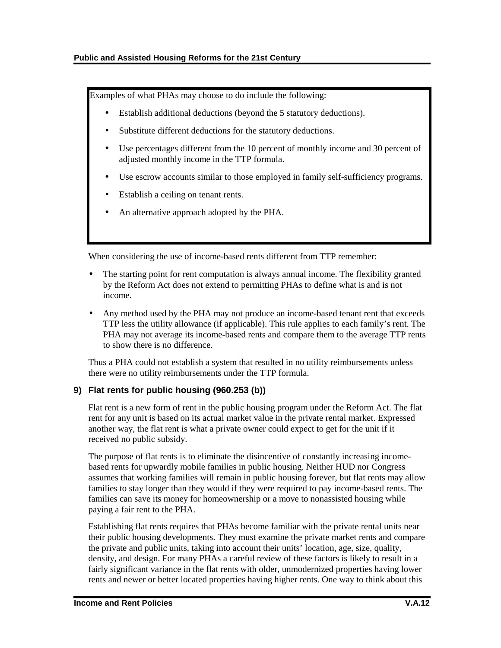Examples of what PHAs may choose to do include the following:

- Establish additional deductions (beyond the 5 statutory deductions).
- Substitute different deductions for the statutory deductions.
- Use percentages different from the 10 percent of monthly income and 30 percent of adjusted monthly income in the TTP formula.
- Use escrow accounts similar to those employed in family self-sufficiency programs.
- Establish a ceiling on tenant rents.
- An alternative approach adopted by the PHA.

When considering the use of income-based rents different from TTP remember:

- The starting point for rent computation is always annual income. The flexibility granted by the Reform Act does not extend to permitting PHAs to define what is and is not income.
- Any method used by the PHA may not produce an income-based tenant rent that exceeds TTP less the utility allowance (if applicable). This rule applies to each family's rent. The PHA may not average its income-based rents and compare them to the average TTP rents to show there is no difference.

Thus a PHA could not establish a system that resulted in no utility reimbursements unless there were no utility reimbursements under the TTP formula.

### **9) Flat rents for public housing (960.253 (b))**

Flat rent is a new form of rent in the public housing program under the Reform Act. The flat rent for any unit is based on its actual market value in the private rental market. Expressed another way, the flat rent is what a private owner could expect to get for the unit if it received no public subsidy.

The purpose of flat rents is to eliminate the disincentive of constantly increasing incomebased rents for upwardly mobile families in public housing. Neither HUD nor Congress assumes that working families will remain in public housing forever, but flat rents may allow families to stay longer than they would if they were required to pay income-based rents. The families can save its money for homeownership or a move to nonassisted housing while paying a fair rent to the PHA.

Establishing flat rents requires that PHAs become familiar with the private rental units near their public housing developments. They must examine the private market rents and compare the private and public units, taking into account their units' location, age, size, quality, density, and design. For many PHAs a careful review of these factors is likely to result in a fairly significant variance in the flat rents with older, unmodernized properties having lower rents and newer or better located properties having higher rents. One way to think about this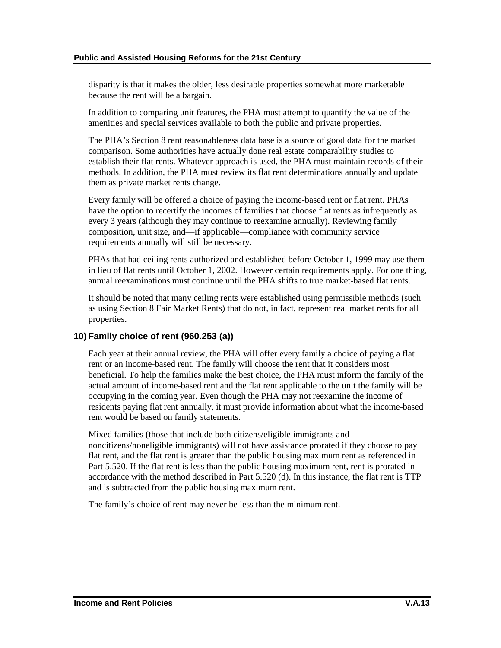disparity is that it makes the older, less desirable properties somewhat more marketable because the rent will be a bargain.

In addition to comparing unit features, the PHA must attempt to quantify the value of the amenities and special services available to both the public and private properties.

The PHA's Section 8 rent reasonableness data base is a source of good data for the market comparison. Some authorities have actually done real estate comparability studies to establish their flat rents. Whatever approach is used, the PHA must maintain records of their methods. In addition, the PHA must review its flat rent determinations annually and update them as private market rents change.

Every family will be offered a choice of paying the income-based rent or flat rent. PHAs have the option to recertify the incomes of families that choose flat rents as infrequently as every 3 years (although they may continue to reexamine annually). Reviewing family composition, unit size, and—if applicable—compliance with community service requirements annually will still be necessary.

PHAs that had ceiling rents authorized and established before October 1, 1999 may use them in lieu of flat rents until October 1, 2002. However certain requirements apply. For one thing, annual reexaminations must continue until the PHA shifts to true market-based flat rents.

It should be noted that many ceiling rents were established using permissible methods (such as using Section 8 Fair Market Rents) that do not, in fact, represent real market rents for all properties.

#### **10) Family choice of rent (960.253 (a))**

Each year at their annual review, the PHA will offer every family a choice of paying a flat rent or an income-based rent. The family will choose the rent that it considers most beneficial. To help the families make the best choice, the PHA must inform the family of the actual amount of income-based rent and the flat rent applicable to the unit the family will be occupying in the coming year. Even though the PHA may not reexamine the income of residents paying flat rent annually, it must provide information about what the income-based rent would be based on family statements.

Mixed families (those that include both citizens/eligible immigrants and noncitizens/noneligible immigrants) will not have assistance prorated if they choose to pay flat rent, and the flat rent is greater than the public housing maximum rent as referenced in Part 5.520. If the flat rent is less than the public housing maximum rent, rent is prorated in accordance with the method described in Part 5.520 (d). In this instance, the flat rent is TTP and is subtracted from the public housing maximum rent.

The family's choice of rent may never be less than the minimum rent.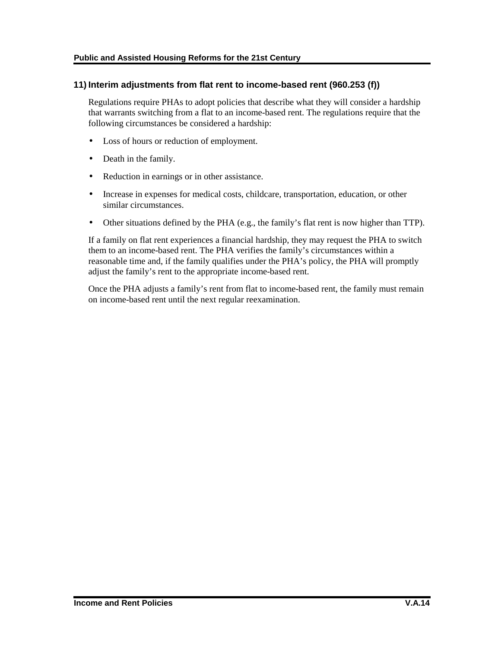#### **11) Interim adjustments from flat rent to income-based rent (960.253 (f))**

Regulations require PHAs to adopt policies that describe what they will consider a hardship that warrants switching from a flat to an income-based rent. The regulations require that the following circumstances be considered a hardship:

- Loss of hours or reduction of employment.
- Death in the family.
- Reduction in earnings or in other assistance.
- Increase in expenses for medical costs, childcare, transportation, education, or other similar circumstances.
- Other situations defined by the PHA (e.g., the family's flat rent is now higher than TTP).

If a family on flat rent experiences a financial hardship, they may request the PHA to switch them to an income-based rent. The PHA verifies the family's circumstances within a reasonable time and, if the family qualifies under the PHA's policy, the PHA will promptly adjust the family's rent to the appropriate income-based rent.

Once the PHA adjusts a family's rent from flat to income-based rent, the family must remain on income-based rent until the next regular reexamination.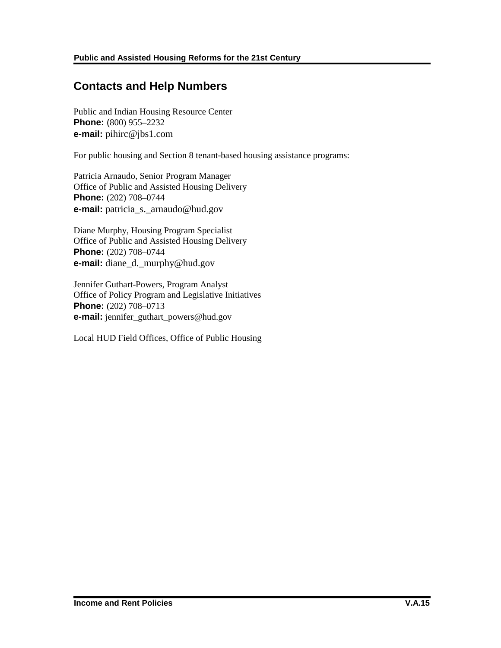## **Contacts and Help Numbers**

Public and Indian Housing Resource Center **Phone:** (800) 955–2232 **e-mail:** pihirc@jbs1.com

For public housing and Section 8 tenant-based housing assistance programs:

Patricia Arnaudo, Senior Program Manager Office of Public and Assisted Housing Delivery **Phone:** (202) 708–0744 **e-mail:** patricia\_s.\_arnaudo@hud.gov

Diane Murphy, Housing Program Specialist Office of Public and Assisted Housing Delivery **Phone:** (202) 708–0744 **e-mail:** diane d. murphy@hud.gov

Jennifer Guthart-Powers, Program Analyst Office of Policy Program and Legislative Initiatives **Phone:** (202) 708–0713 **e-mail:** jennifer\_guthart\_powers@hud.gov

Local HUD Field Offices, Office of Public Housing